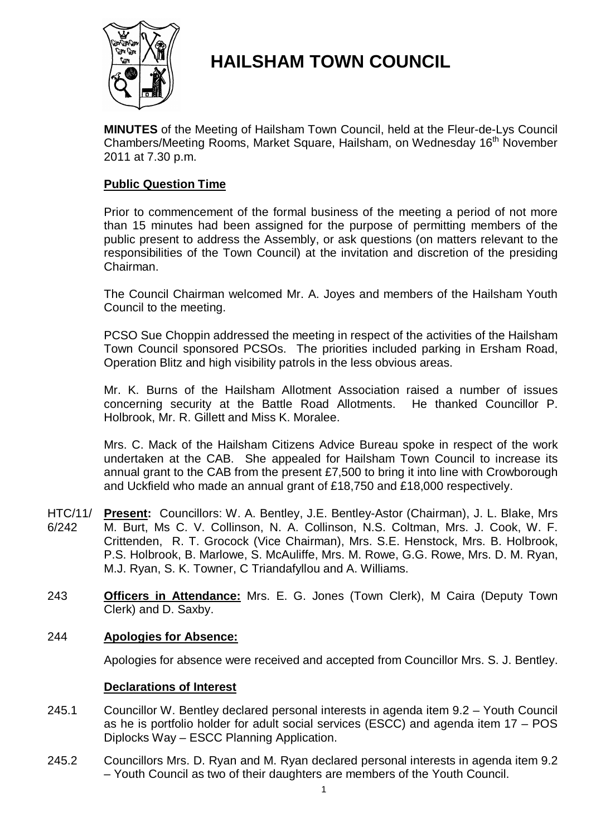

# **HAILSHAM TOWN COUNCIL**

**MINUTES** of the Meeting of Hailsham Town Council, held at the Fleur-de-Lys Council Chambers/Meeting Rooms, Market Square, Hailsham, on Wednesday 16<sup>th</sup> November 2011 at 7.30 p.m.

# **Public Question Time**

Prior to commencement of the formal business of the meeting a period of not more than 15 minutes had been assigned for the purpose of permitting members of the public present to address the Assembly, or ask questions (on matters relevant to the responsibilities of the Town Council) at the invitation and discretion of the presiding Chairman.

The Council Chairman welcomed Mr. A. Joyes and members of the Hailsham Youth Council to the meeting.

PCSO Sue Choppin addressed the meeting in respect of the activities of the Hailsham Town Council sponsored PCSOs. The priorities included parking in Ersham Road, Operation Blitz and high visibility patrols in the less obvious areas.

Mr. K. Burns of the Hailsham Allotment Association raised a number of issues concerning security at the Battle Road Allotments. He thanked Councillor P. Holbrook, Mr. R. Gillett and Miss K. Moralee.

Mrs. C. Mack of the Hailsham Citizens Advice Bureau spoke in respect of the work undertaken at the CAB. She appealed for Hailsham Town Council to increase its annual grant to the CAB from the present £7,500 to bring it into line with Crowborough and Uckfield who made an annual grant of £18,750 and £18,000 respectively.

- HTC/11/ 6/242 **Present:** Councillors: W. A. Bentley, J.E. Bentley-Astor (Chairman), J. L. Blake, Mrs M. Burt, Ms C. V. Collinson, N. A. Collinson, N.S. Coltman, Mrs. J. Cook, W. F. Crittenden, R. T. Grocock (Vice Chairman), Mrs. S.E. Henstock, Mrs. B. Holbrook, P.S. Holbrook, B. Marlowe, S. McAuliffe, Mrs. M. Rowe, G.G. Rowe, Mrs. D. M. Ryan, M.J. Ryan, S. K. Towner, C Triandafyllou and A. Williams.
- 243 **Officers in Attendance:** Mrs. E. G. Jones (Town Clerk), M Caira (Deputy Town Clerk) and D. Saxby.

# 244 **Apologies for Absence:**

Apologies for absence were received and accepted from Councillor Mrs. S. J. Bentley.

### **Declarations of Interest**

- 245.1 Councillor W. Bentley declared personal interests in agenda item 9.2 – Youth Council as he is portfolio holder for adult social services (ESCC) and agenda item 17 – POS Diplocks Way – ESCC Planning Application.
- 245.2 Councillors Mrs. D. Ryan and M. Ryan declared personal interests in agenda item 9.2 – Youth Council as two of their daughters are members of the Youth Council.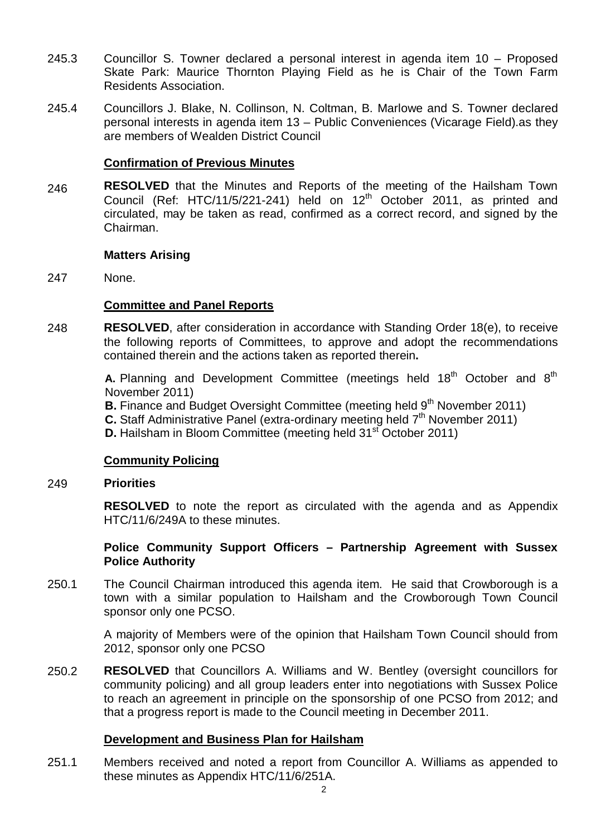- 245.3 Councillor S. Towner declared a personal interest in agenda item 10 – Proposed Skate Park: Maurice Thornton Playing Field as he is Chair of the Town Farm Residents Association.
- 245.4 Councillors J. Blake, N. Collinson, N. Coltman, B. Marlowe and S. Towner declared personal interests in agenda item 13 – Public Conveniences (Vicarage Field).as they are members of Wealden District Council

### **Confirmation of Previous Minutes**

246 **RESOLVED** that the Minutes and Reports of the meeting of the Hailsham Town Council (Ref: HTC/11/5/221-241) held on  $12<sup>th</sup>$  October 2011, as printed and circulated, may be taken as read, confirmed as a correct record, and signed by the Chairman.

### **Matters Arising**

247 None.

# **Committee and Panel Reports**

248 **RESOLVED**, after consideration in accordance with Standing Order 18(e), to receive the following reports of Committees, to approve and adopt the recommendations contained therein and the actions taken as reported therein**.**

> **A.** Planning and Development Committee (meetings held 18<sup>th</sup> October and 8<sup>th</sup> November 2011)

**B.** Finance and Budget Oversight Committee (meeting held 9<sup>th</sup> November 2011)

**C.** Staff Administrative Panel (extra-ordinary meeting held 7<sup>th</sup> November 2011)

**D.** Hailsham in Bloom Committee (meeting held 31<sup>st</sup> October 2011)

# **Community Policing**

#### 249 **Priorities**

**RESOLVED** to note the report as circulated with the agenda and as Appendix HTC/11/6/249A to these minutes.

### **Police Community Support Officers – Partnership Agreement with Sussex Police Authority**

250.1 The Council Chairman introduced this agenda item. He said that Crowborough is a town with a similar population to Hailsham and the Crowborough Town Council sponsor only one PCSO.

> A majority of Members were of the opinion that Hailsham Town Council should from 2012, sponsor only one PCSO

250.2 **RESOLVED** that Councillors A. Williams and W. Bentley (oversight councillors for community policing) and all group leaders enter into negotiations with Sussex Police to reach an agreement in principle on the sponsorship of one PCSO from 2012; and that a progress report is made to the Council meeting in December 2011.

### **Development and Business Plan for Hailsham**

251.1 Members received and noted a report from Councillor A. Williams as appended to these minutes as Appendix HTC/11/6/251A.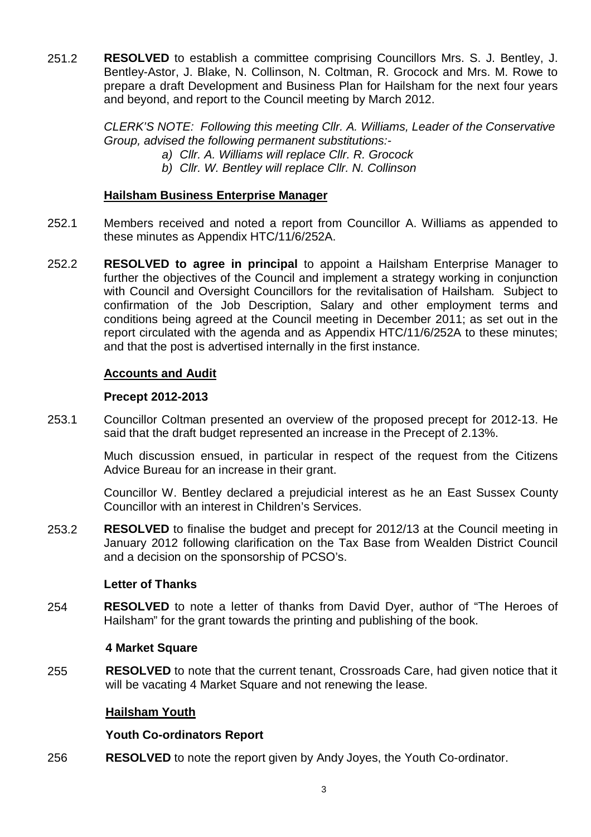251.2 **RESOLVED** to establish a committee comprising Councillors Mrs. S. J. Bentley, J. Bentley-Astor, J. Blake, N. Collinson, N. Coltman, R. Grocock and Mrs. M. Rowe to prepare a draft Development and Business Plan for Hailsham for the next four years and beyond, and report to the Council meeting by March 2012.

> *CLERK'S NOTE: Following this meeting Cllr. A. Williams, Leader of the Conservative Group, advised the following permanent substitutions:-*

- *a) Cllr. A. Williams will replace Cllr. R. Grocock*
- *b) Cllr. W. Bentley will replace Cllr. N. Collinson*

### **Hailsham Business Enterprise Manager**

- 252.1 Members received and noted a report from Councillor A. Williams as appended to these minutes as Appendix HTC/11/6/252A.
- 252.2 **RESOLVED to agree in principal** to appoint a Hailsham Enterprise Manager to further the objectives of the Council and implement a strategy working in conjunction with Council and Oversight Councillors for the revitalisation of Hailsham. Subject to confirmation of the Job Description, Salary and other employment terms and conditions being agreed at the Council meeting in December 2011; as set out in the report circulated with the agenda and as Appendix HTC/11/6/252A to these minutes; and that the post is advertised internally in the first instance.

### **Accounts and Audit**

### **Precept 2012-2013**

253.1 Councillor Coltman presented an overview of the proposed precept for 2012-13. He said that the draft budget represented an increase in the Precept of 2.13%.

> Much discussion ensued, in particular in respect of the request from the Citizens Advice Bureau for an increase in their grant.

> Councillor W. Bentley declared a prejudicial interest as he an East Sussex County Councillor with an interest in Children's Services.

253.2 **RESOLVED** to finalise the budget and precept for 2012/13 at the Council meeting in January 2012 following clarification on the Tax Base from Wealden District Council and a decision on the sponsorship of PCSO's.

### **Letter of Thanks**

254 **RESOLVED** to note a letter of thanks from David Dyer, author of "The Heroes of Hailsham" for the grant towards the printing and publishing of the book.

### **4 Market Square**

255 **RESOLVED** to note that the current tenant, Crossroads Care, had given notice that it will be vacating 4 Market Square and not renewing the lease.

### **Hailsham Youth**

### **Youth Co-ordinators Report**

256 **RESOLVED** to note the report given by Andy Joyes, the Youth Co-ordinator.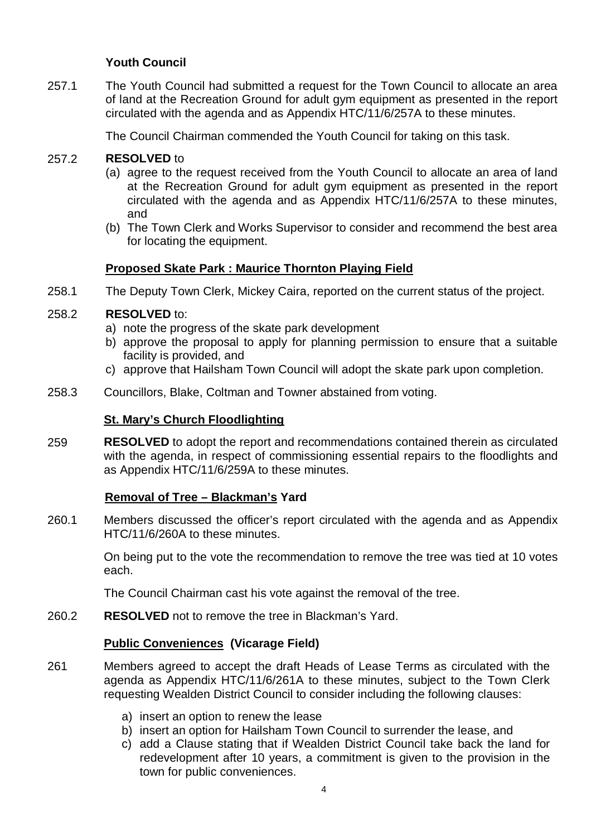# **Youth Council**

257.1 The Youth Council had submitted a request for the Town Council to allocate an area of land at the Recreation Ground for adult gym equipment as presented in the report circulated with the agenda and as Appendix HTC/11/6/257A to these minutes.

The Council Chairman commended the Youth Council for taking on this task.

#### 257.2 **RESOLVED** to

- (a) agree to the request received from the Youth Council to allocate an area of land at the Recreation Ground for adult gym equipment as presented in the report circulated with the agenda and as Appendix HTC/11/6/257A to these minutes, and
- (b) The Town Clerk and Works Supervisor to consider and recommend the best area for locating the equipment.

### **Proposed Skate Park : Maurice Thornton Playing Field**

258.1 The Deputy Town Clerk, Mickey Caira, reported on the current status of the project.

#### 258.2 **RESOLVED** to:

- a) note the progress of the skate park development
- b) approve the proposal to apply for planning permission to ensure that a suitable facility is provided, and
- c) approve that Hailsham Town Council will adopt the skate park upon completion.
- 258.3 Councillors, Blake, Coltman and Towner abstained from voting.

### **St. Mary's Church Floodlighting**

259 **RESOLVED** to adopt the report and recommendations contained therein as circulated with the agenda, in respect of commissioning essential repairs to the floodlights and as Appendix HTC/11/6/259A to these minutes.

### **Removal of Tree – Blackman's Yard**

260.1 Members discussed the officer's report circulated with the agenda and as Appendix HTC/11/6/260A to these minutes.

> On being put to the vote the recommendation to remove the tree was tied at 10 votes each.

The Council Chairman cast his vote against the removal of the tree.

260.2 **RESOLVED** not to remove the tree in Blackman's Yard.

### **Public Conveniences (Vicarage Field)**

- 261 Members agreed to accept the draft Heads of Lease Terms as circulated with the agenda as Appendix HTC/11/6/261A to these minutes, subject to the Town Clerk requesting Wealden District Council to consider including the following clauses:
	- a) insert an option to renew the lease
	- b) insert an option for Hailsham Town Council to surrender the lease, and
	- c) add a Clause stating that if Wealden District Council take back the land for redevelopment after 10 years, a commitment is given to the provision in the town for public conveniences.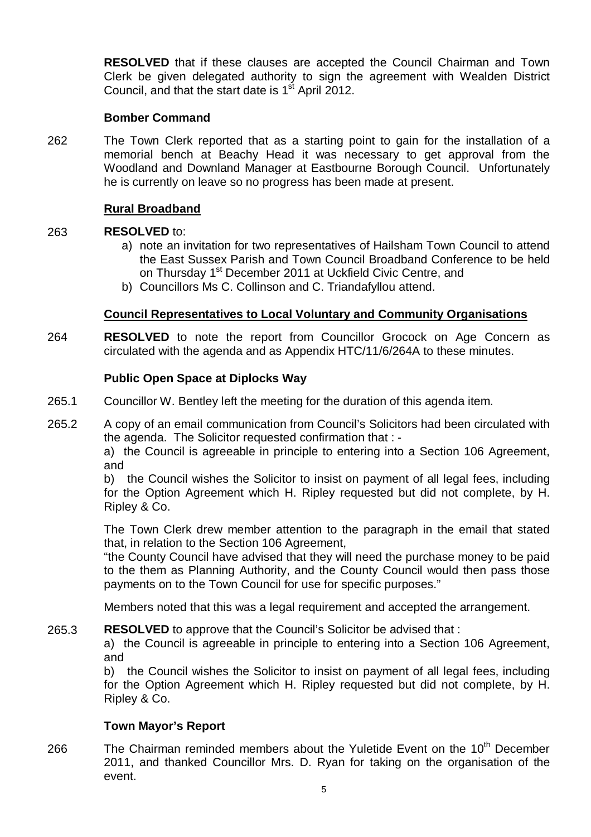**RESOLVED** that if these clauses are accepted the Council Chairman and Town Clerk be given delegated authority to sign the agreement with Wealden District Council, and that the start date is  $1<sup>st</sup>$  April 2012.

# **Bomber Command**

262 The Town Clerk reported that as a starting point to gain for the installation of a memorial bench at Beachy Head it was necessary to get approval from the Woodland and Downland Manager at Eastbourne Borough Council. Unfortunately he is currently on leave so no progress has been made at present.

# **Rural Broadband**

#### 263 **RESOLVED** to:

- a) note an invitation for two representatives of Hailsham Town Council to attend the East Sussex Parish and Town Council Broadband Conference to be held on Thursday 1<sup>st</sup> December 2011 at Uckfield Civic Centre, and
- b) Councillors Ms C. Collinson and C. Triandafyllou attend.

### **Council Representatives to Local Voluntary and Community Organisations**

264 **RESOLVED** to note the report from Councillor Grocock on Age Concern as circulated with the agenda and as Appendix HTC/11/6/264A to these minutes.

### **Public Open Space at Diplocks Way**

- 265.1 Councillor W. Bentley left the meeting for the duration of this agenda item.
- 265.2 A copy of an email communication from Council's Solicitors had been circulated with the agenda. The Solicitor requested confirmation that : -

a) the Council is agreeable in principle to entering into a Section 106 Agreement, and

b) the Council wishes the Solicitor to insist on payment of all legal fees, including for the Option Agreement which H. Ripley requested but did not complete, by H. Ripley & Co.

The Town Clerk drew member attention to the paragraph in the email that stated that, in relation to the Section 106 Agreement,

"the County Council have advised that they will need the purchase money to be paid to the them as Planning Authority, and the County Council would then pass those payments on to the Town Council for use for specific purposes."

Members noted that this was a legal requirement and accepted the arrangement.

#### 265.3 **RESOLVED** to approve that the Council's Solicitor be advised that :

a) the Council is agreeable in principle to entering into a Section 106 Agreement, and

b) the Council wishes the Solicitor to insist on payment of all legal fees, including for the Option Agreement which H. Ripley requested but did not complete, by H. Ripley & Co.

# **Town Mayor's Report**

266 The Chairman reminded members about the Yuletide Event on the 10<sup>th</sup> December 2011, and thanked Councillor Mrs. D. Ryan for taking on the organisation of the event.